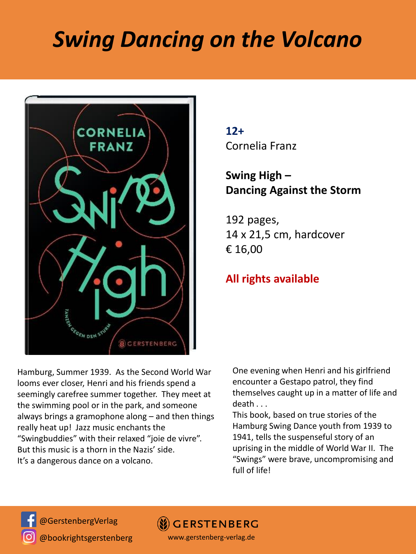## *Swing Dancing on the Volcano*



**12+** Cornelia Franz

## **Swing High – Dancing Against the Storm**

192 pages, 14 x 21,5 cm, hardcover € 16,00

## **All rights available**

Hamburg, Summer 1939. As the Second World War looms ever closer, Henri and his friends spend a seemingly carefree summer together. They meet at the swimming pool or in the park, and someone always brings a gramophone along – and then things really heat up! Jazz music enchants the "Swingbuddies" with their relaxed "joie de vivre". But this music is a thorn in the Nazis' side. It's a dangerous dance on a volcano.

One evening when Henri and his girlfriend encounter a Gestapo patrol, they find themselves caught up in a matter of life and death . . .

This book, based on true stories of the Hamburg Swing Dance youth from 1939 to 1941, tells the suspenseful story of an uprising in the middle of World War II. The "Swings" were brave, uncompromising and full of life!



@GerstenbergVerlag @bookrightsgerstenberg

**GERSTENBERG** 

www.gerstenberg-verlag.de